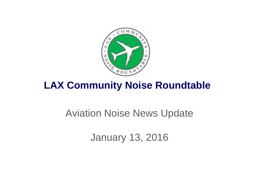

# **LAX Community Noise Roundtable**

# Aviation Noise News Update

January 13, 2016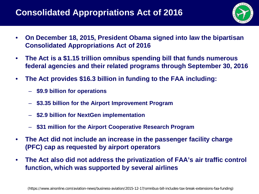### **Consolidated Appropriations Act of 2016**



- **On December 18, 2015, President Obama signed into law the bipartisan Consolidated Appropriations Act of 2016**
- **The Act is a \$1.15 trillion omnibus spending bill that funds numerous federal agencies and their related programs through September 30, 2016**
- **The Act provides \$16.3 billion in funding to the FAA including:**
	- **\$9.9 billion for operations**
	- **\$3.35 billion for the Airport Improvement Program**
	- **\$2.9 billion for NextGen implementation**
	- **\$31 million for the Airport Cooperative Research Program**
- **The Act did not include an increase in the passenger facility charge (PFC) cap as requested by airport operators**
- **The Act also did not address the privatization of FAA's air traffic control function, which was supported by several airlines**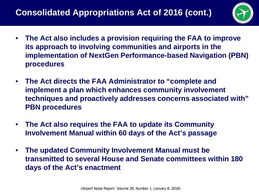

- **The Act also includes a provision requiring the FAA to improve its approach to involving communities and airports in the implementation of NextGen Performance-based Navigation (PBN) procedures**
- **The Act directs the FAA Administrator to "complete and implement a plan which enhances community involvement techniques and proactively addresses concerns associated with" PBN procedures**
- **The Act also requires the FAA to update its Community Involvement Manual within 60 days of the Act's passage**
- **The updated Community Involvement Manual must be transmitted to several House and Senate committees within 180 days of the Act's enactment**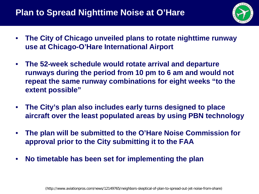### **Plan to Spread Nighttime Noise at O'Hare**



- **The City of Chicago unveiled plans to rotate nighttime runway use at Chicago-O'Hare International Airport**
- **The 52-week schedule would rotate arrival and departure runways during the period from 10 pm to 6 am and would not repeat the same runway combinations for eight weeks "to the extent possible"**
- **The City's plan also includes early turns designed to place aircraft over the least populated areas by using PBN technology**
- **The plan will be submitted to the O'Hare Noise Commission for approval prior to the City submitting it to the FAA**
- **No timetable has been set for implementing the plan**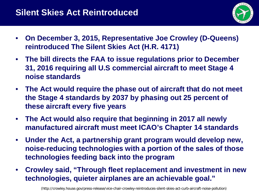

- **On December 3, 2015, Representative Joe Crowley (D-Queens) reintroduced The Silent Skies Act (H.R. 4171)**
- **The bill directs the FAA to issue regulations prior to December 31, 2016 requiring all U.S commercial aircraft to meet Stage 4 noise standards**
- **The Act would require the phase out of aircraft that do not meet the Stage 4 standards by 2037 by phasing out 25 percent of these aircraft every five years**
- **The Act would also require that beginning in 2017 all newly manufactured aircraft must meet ICAO's Chapter 14 standards**
- **Under the Act, a partnership grant program would develop new, noise-reducing technologies with a portion of the sales of those technologies feeding back into the program**
- **Crowley said, "Through fleet replacement and investment in new technologies, quieter airplanes are an achievable goal."**

(http://crowley.house.gov/press-release/vice-chair-crowley-reintroduces-silent-skies-act-curb-aircraft-noise-pollution)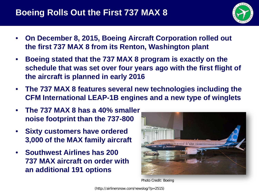

- **On December 8, 2015, Boeing Aircraft Corporation rolled out the first 737 MAX 8 from its Renton, Washington plant**
- **Boeing stated that the 737 MAX 8 program is exactly on the schedule that was set over four years ago with the first flight of the aircraft is planned in early 2016**
- **The 737 MAX 8 features several new technologies including the CFM International LEAP-1B engines and a new type of winglets**
- **The 737 MAX 8 has a 40% smaller noise footprint than the 737-800**
- **Sixty customers have ordered 3,000 of the MAX family aircraft**
- **Southwest Airlines has 200 737 MAX aircraft on order with an additional 191 options**



Photo Credit: Boeing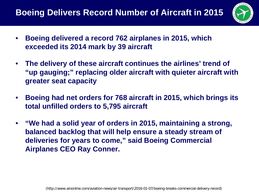### **Boeing Delivers Record Number of Aircraft in 2015**



- **Boeing delivered a record 762 airplanes in 2015, which exceeded its 2014 mark by 39 aircraft**
- **The delivery of these aircraft continues the airlines' trend of "up gauging;" replacing older aircraft with quieter aircraft with greater seat capacity**
- **Boeing had net orders for 768 aircraft in 2015, which brings its total unfilled orders to 5,795 aircraft**
- **"We had a solid year of orders in 2015, maintaining a strong, balanced backlog that will help ensure a steady stream of deliveries for years to come," said Boeing Commercial Airplanes CEO Ray Conner.**